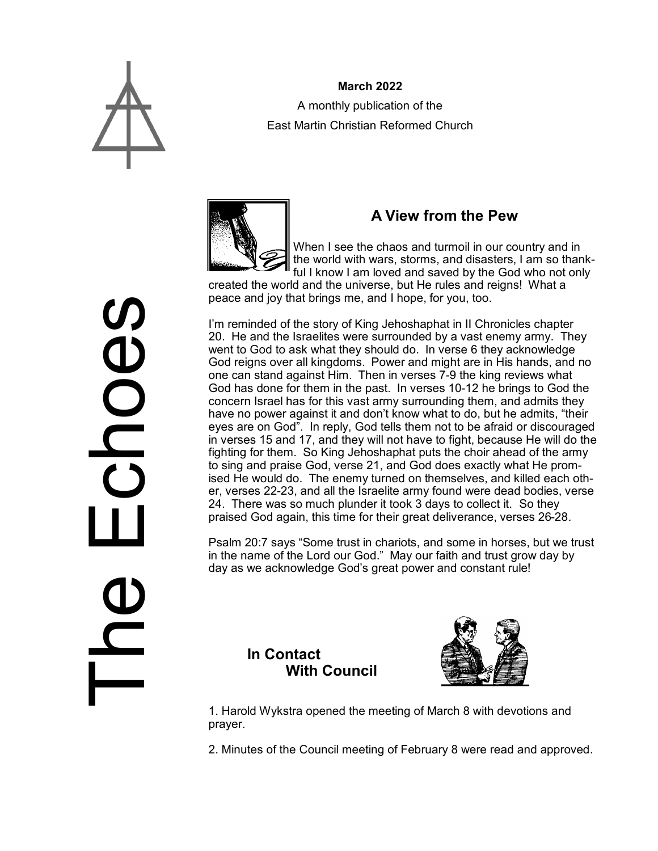

## **March 2022** A monthly publication of the East Martin Christian Reformed Church



## **A View from the Pew**

When I see the chaos and turmoil in our country and in the world with wars, storms, and disasters, I am so thankful I know I am loved and saved by the God who not only

created the world and the universe, but He rules and reigns! What a peace and joy that brings me, and I hope, for you, too.

I'm reminded of the story of King Jehoshaphat in II Chronicles chapter 20. He and the Israelites were surrounded by a vast enemy army. They went to God to ask what they should do. In verse 6 they acknowledge God reigns over all kingdoms. Power and might are in His hands, and no one can stand against Him. Then in verses 7-9 the king reviews what God has done for them in the past. In verses 10-12 he brings to God the concern Israel has for this vast army surrounding them, and admits they have no power against it and don't know what to do, but he admits, "their eyes are on God". In reply, God tells them not to be afraid or discouraged in verses 15 and 17, and they will not have to fight, because He will do the fighting for them. So King Jehoshaphat puts the choir ahead of the army to sing and praise God, verse 21, and God does exactly what He promised He would do. The enemy turned on themselves, and killed each other, verses 22-23, and all the Israelite army found were dead bodies, verse 24. There was so much plunder it took 3 days to collect it. So they praised God again, this time for their great deliverance, verses 26-28.

Psalm 20:7 says "Some trust in chariots, and some in horses, but we trust in the name of the Lord our God." May our faith and trust grow day by day as we acknowledge God's great power and constant rule!

#### **In Contact With Council**



1. Harold Wykstra opened the meeting of March 8 with devotions and prayer.

2. Minutes of the Council meeting of February 8 were read and approved.

The Echoes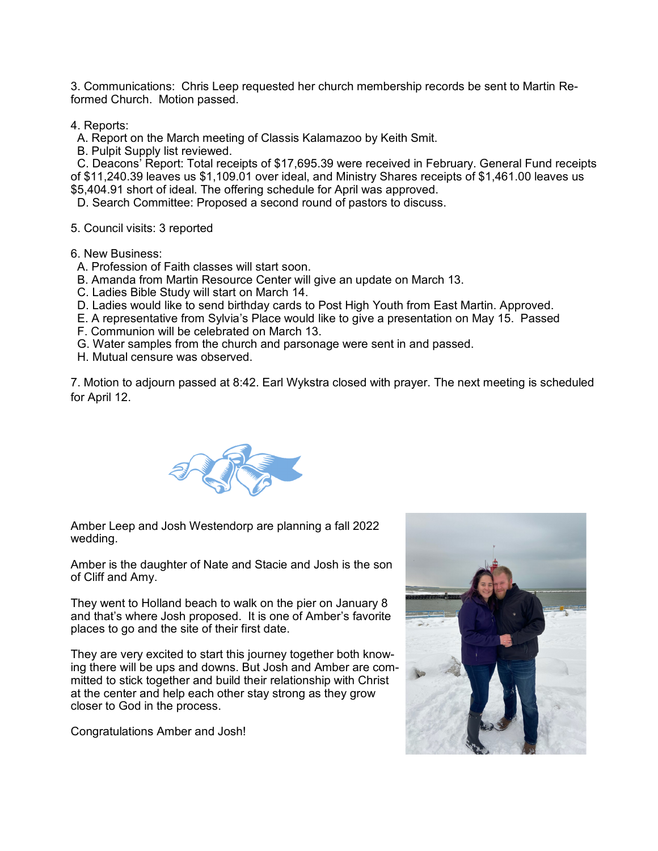3. Communications: Chris Leep requested her church membership records be sent to Martin Reformed Church. Motion passed.

4. Reports:

A. Report on the March meeting of Classis Kalamazoo by Keith Smit.

B. Pulpit Supply list reviewed.

 C. Deacons' Report: Total receipts of \$17,695.39 were received in February. General Fund receipts of \$11,240.39 leaves us \$1,109.01 over ideal, and Ministry Shares receipts of \$1,461.00 leaves us \$5,404.91 short of ideal. The offering schedule for April was approved.

D. Search Committee: Proposed a second round of pastors to discuss.

5. Council visits: 3 reported

6. New Business:

- A. Profession of Faith classes will start soon.
- B. Amanda from Martin Resource Center will give an update on March 13.
- C. Ladies Bible Study will start on March 14.
- D. Ladies would like to send birthday cards to Post High Youth from East Martin. Approved.
- E. A representative from Sylvia's Place would like to give a presentation on May 15. Passed
- F. Communion will be celebrated on March 13.
- G. Water samples from the church and parsonage were sent in and passed.
- H. Mutual censure was observed.

7. Motion to adjourn passed at 8:42. Earl Wykstra closed with prayer. The next meeting is scheduled for April 12.



Amber Leep and Josh Westendorp are planning a fall 2022 wedding.

Amber is the daughter of Nate and Stacie and Josh is the son of Cliff and Amy.

They went to Holland beach to walk on the pier on January 8 and that's where Josh proposed. It is one of Amber's favorite places to go and the site of their first date.

They are very excited to start this journey together both knowing there will be ups and downs. But Josh and Amber are committed to stick together and build their relationship with Christ at the center and help each other stay strong as they grow closer to God in the process.

Congratulations Amber and Josh!

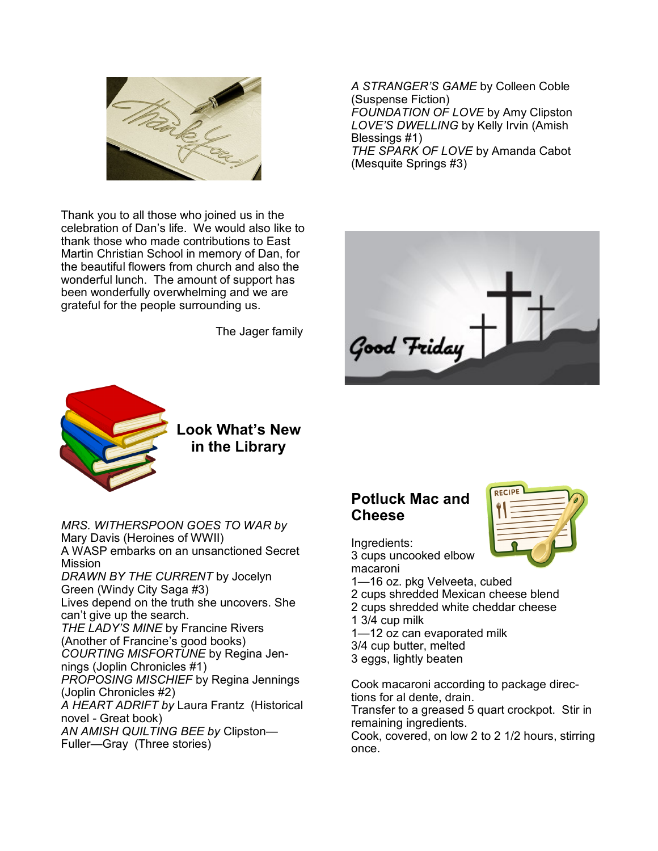

Thank you to all those who joined us in the celebration of Dan's life. We would also like to thank those who made contributions to East Martin Christian School in memory of Dan, for the beautiful flowers from church and also the wonderful lunch. The amount of support has been wonderfully overwhelming and we are grateful for the people surrounding us.

The Jager family

*A STRANGER'S GAME* by Colleen Coble (Suspense Fiction) *FOUNDATION OF LOVE* by Amy Clipston *LOVE'S DWELLING* by Kelly Irvin (Amish Blessings #1) *THE SPARK OF LOVE* by Amanda Cabot (Mesquite Springs #3)





*MRS. WITHERSPOON GOES TO WAR by*  Mary Davis (Heroines of WWII) A WASP embarks on an unsanctioned Secret Mission *DRAWN BY THE CURRENT* by Jocelyn Green (Windy City Saga #3) Lives depend on the truth she uncovers. She can't give up the search. *THE LADY'S MINE* by Francine Rivers (Another of Francine's good books) *COURTING MISFORTUNE* by Regina Jennings (Joplin Chronicles #1) *PROPOSING MISCHIEF* by Regina Jennings (Joplin Chronicles #2) *A HEART ADRIFT by* Laura Frantz (Historical novel - Great book) *AN AMISH QUILTING BEE by* Clipston— Fuller—Gray (Three stories)

## **Potluck Mac and Cheese**



Ingredients: 3 cups uncooked elbow

macaroni

- 1—16 oz. pkg Velveeta, cubed
- 2 cups shredded Mexican cheese blend
- 2 cups shredded white cheddar cheese
- 1 3/4 cup milk
- 1—12 oz can evaporated milk
- 3/4 cup butter, melted
- 3 eggs, lightly beaten

Cook macaroni according to package directions for al dente, drain. Transfer to a greased 5 quart crockpot. Stir in remaining ingredients.

Cook, covered, on low 2 to 2 1/2 hours, stirring once.